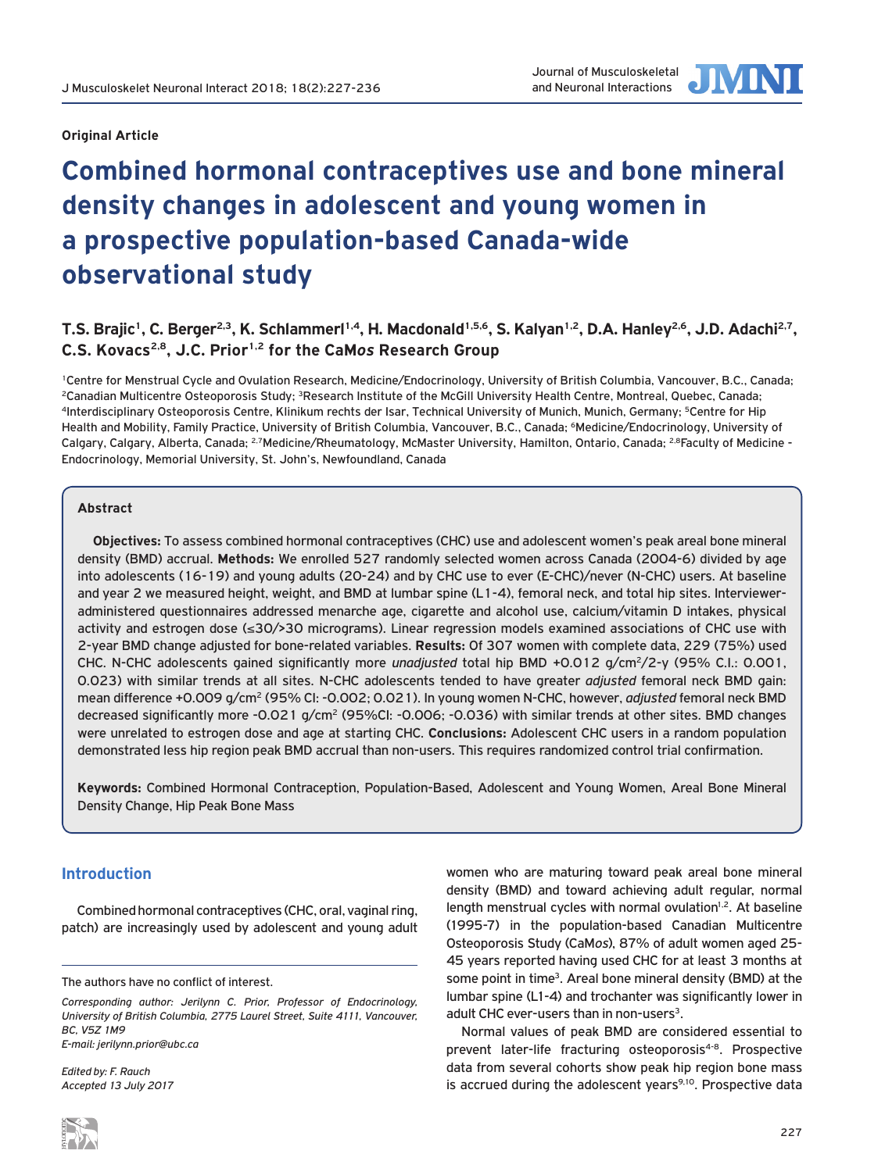#### **Original Article**



# **Combined hormonal contraceptives use and bone mineral density changes in adolescent and young women in a prospective population-based Canada-wide observational study**

# **T.S. Brajic1, C. Berger2,3, K. Schlammerl1,4, H. Macdonald1,5,6, S. Kalyan1,2, D.A. Hanley2,6, J.D. Adachi2,7, C.S. Kovacs2,8, J.C. Prior1,2 for the CaM***os* **Research Group**

1Centre for Menstrual Cycle and Ovulation Research, Medicine/Endocrinology, University of British Columbia, Vancouver, B.C., Canada; <sup>2</sup>Canadian Multicentre Osteoporosis Study; <sup>3</sup>Research Institute of the McGill University Health Centre, Montreal, Quebec, Canada;<br><sup>4</sup>Interdisciplinary Osteoporosis Centre, Klinikum rechts der Isar, Technical University o Health and Mobility, Family Practice, University of British Columbia, Vancouver, B.C., Canada; 6Medicine/Endocrinology, University of Calgary, Calgary, Alberta, Canada; <sup>2,7</sup>Medicine/Rheumatology, McMaster University, Hamilton, Ontario, Canada; <sup>2,8</sup>Faculty of Medicine -Endocrinology, Memorial University, St. John's, Newfoundland, Canada

### **Abstract**

**Objectives:** To assess combined hormonal contraceptives (CHC) use and adolescent women's peak areal bone mineral density (BMD) accrual. **Methods:** We enrolled 527 randomly selected women across Canada (2004-6) divided by age into adolescents (16-19) and young adults (20-24) and by CHC use to ever (E-CHC)/never (N-CHC) users. At baseline and year 2 we measured height, weight, and BMD at lumbar spine (L1-4), femoral neck, and total hip sites. Intervieweradministered questionnaires addressed menarche age, cigarette and alcohol use, calcium/vitamin D intakes, physical activity and estrogen dose (≤30/>30 micrograms). Linear regression models examined associations of CHC use with 2-year BMD change adjusted for bone-related variables. **Results:** Of 307 women with complete data, 229 (75%) used CHC. N-CHC adolescents gained significantly more *unadjusted* total hip BMD +0.012 g/cm2/2-y (95% C.I.: 0.001, 0.023) with similar trends at all sites. N-CHC adolescents tended to have greater *adjusted* femoral neck BMD gain: mean difference +0.009 g/cm2 (95% CI: -0.002; 0.021). In young women N-CHC, however, *adjusted* femoral neck BMD decreased significantly more -0.021 g/cm<sup>2</sup> (95%CI: -0.006; -0.036) with similar trends at other sites. BMD changes were unrelated to estrogen dose and age at starting CHC. **Conclusions:** Adolescent CHC users in a random population demonstrated less hip region peak BMD accrual than non-users. This requires randomized control trial confirmation.

**Keywords:** Combined Hormonal Contraception, Population-Based, Adolescent and Young Women, Areal Bone Mineral Density Change, Hip Peak Bone Mass

# **Introduction**

Combined hormonal contraceptives (CHC, oral, vaginal ring, patch) are increasingly used by adolescent and young adult

The authors have no conflict of interest.

*Edited by: F. Rauch Accepted 13 July 2017* women who are maturing toward peak areal bone mineral density (BMD) and toward achieving adult regular, normal length menstrual cycles with normal ovulation<sup>1,2</sup>. At baseline (1995-7) in the population-based Canadian Multicentre Osteoporosis Study (CaM*os*), 87% of adult women aged 25- 45 years reported having used CHC for at least 3 months at some point in time<sup>3</sup>. Areal bone mineral density (BMD) at the lumbar spine (L1-4) and trochanter was significantly lower in adult CHC ever-users than in non-users<sup>3</sup>.

Normal values of peak BMD are considered essential to prevent later-life fracturing osteoporosis<sup>4-8</sup>. Prospective data from several cohorts show peak hip region bone mass is accrued during the adolescent years<sup>9,10</sup>. Prospective data

*Corresponding author: Jerilynn C. Prior, Professor of Endocrinology, University of British Columbia, 2775 Laurel Street, Suite 4111, Vancouver, BC, V5Z 1M9 E-mail: jerilynn.prior@ubc.ca*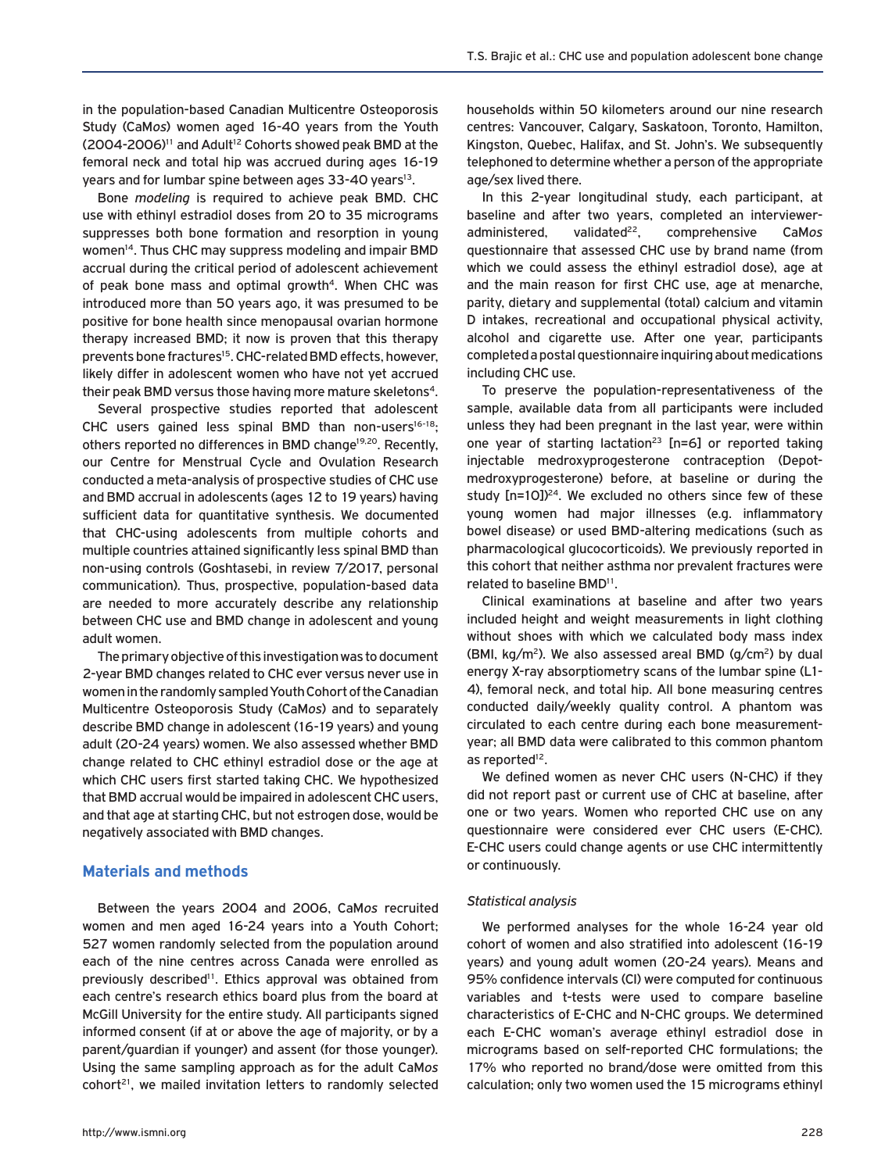in the population-based Canadian Multicentre Osteoporosis Study (CaM*os*) women aged 16-40 years from the Youth (2004-2006)<sup>11</sup> and Adult<sup>12</sup> Cohorts showed peak BMD at the femoral neck and total hip was accrued during ages 16-19 years and for lumbar spine between ages 33-40 years<sup>13</sup>.

Bone *modeling* is required to achieve peak BMD. CHC use with ethinyl estradiol doses from 20 to 35 micrograms suppresses both bone formation and resorption in young women<sup>14</sup>. Thus CHC may suppress modeling and impair BMD accrual during the critical period of adolescent achievement of peak bone mass and optimal growth<sup>4</sup>. When CHC was introduced more than 50 years ago, it was presumed to be positive for bone health since menopausal ovarian hormone therapy increased BMD; it now is proven that this therapy prevents bone fractures<sup>15</sup>. CHC-related BMD effects, however, likely differ in adolescent women who have not yet accrued their peak BMD versus those having more mature skeletons<sup>4</sup>.

Several prospective studies reported that adolescent CHC users gained less spinal BMD than non-users $16-18$ ; others reported no differences in BMD change<sup>19,20</sup>. Recently, our Centre for Menstrual Cycle and Ovulation Research conducted a meta-analysis of prospective studies of CHC use and BMD accrual in adolescents (ages 12 to 19 years) having sufficient data for quantitative synthesis. We documented that CHC-using adolescents from multiple cohorts and multiple countries attained significantly less spinal BMD than non-using controls (Goshtasebi, in review 7/2017, personal communication). Thus, prospective, population-based data are needed to more accurately describe any relationship between CHC use and BMD change in adolescent and young adult women.

The primary objective of this investigation was to document 2-year BMD changes related to CHC ever versus never use in women in the randomly sampled Youth Cohort of the Canadian Multicentre Osteoporosis Study (CaM*os*) and to separately describe BMD change in adolescent (16-19 years) and young adult (20-24 years) women. We also assessed whether BMD change related to CHC ethinyl estradiol dose or the age at which CHC users first started taking CHC. We hypothesized that BMD accrual would be impaired in adolescent CHC users, and that age at starting CHC, but not estrogen dose, would be negatively associated with BMD changes.

# **Materials and methods**

Between the years 2004 and 2006, CaM*os* recruited women and men aged 16-24 years into a Youth Cohort; 527 women randomly selected from the population around each of the nine centres across Canada were enrolled as previously described<sup>11</sup>. Ethics approval was obtained from each centre's research ethics board plus from the board at McGill University for the entire study. All participants signed informed consent (if at or above the age of majority, or by a parent/guardian if younger) and assent (for those younger). Using the same sampling approach as for the adult CaM*os*  $\text{cohort}^{21}$ , we mailed invitation letters to randomly selected households within 50 kilometers around our nine research centres: Vancouver, Calgary, Saskatoon, Toronto, Hamilton, Kingston, Quebec, Halifax, and St. John's. We subsequently telephoned to determine whether a person of the appropriate age/sex lived there.

In this 2-year longitudinal study, each participant, at baseline and after two years, completed an intervieweradministered, validated<sup>22</sup>, comprehensive CaMos questionnaire that assessed CHC use by brand name (from which we could assess the ethinyl estradiol dose), age at and the main reason for first CHC use, age at menarche, parity, dietary and supplemental (total) calcium and vitamin D intakes, recreational and occupational physical activity, alcohol and cigarette use. After one year, participants completed a postal questionnaire inquiring about medications including CHC use.

To preserve the population-representativeness of the sample, available data from all participants were included unless they had been pregnant in the last year, were within one year of starting lactation<sup>23</sup>  $[n=6]$  or reported taking injectable medroxyprogesterone contraception (Depotmedroxyprogesterone) before, at baseline or during the study  $[n=10]$ <sup>24</sup>. We excluded no others since few of these young women had major illnesses (e.g. inflammatory bowel disease) or used BMD-altering medications (such as pharmacological glucocorticoids). We previously reported in this cohort that neither asthma nor prevalent fractures were related to baseline BMD<sup>11</sup>.

Clinical examinations at baseline and after two years included height and weight measurements in light clothing without shoes with which we calculated body mass index (BMI,  $kg/m^2$ ). We also assessed areal BMD ( $g/cm^2$ ) by dual energy X-ray absorptiometry scans of the lumbar spine (L1- 4), femoral neck, and total hip. All bone measuring centres conducted daily/weekly quality control. A phantom was circulated to each centre during each bone measurementyear; all BMD data were calibrated to this common phantom as reported<sup>12</sup>.

We defined women as never CHC users (N-CHC) if they did not report past or current use of CHC at baseline, after one or two years. Women who reported CHC use on any questionnaire were considered ever CHC users (E-CHC). E-CHC users could change agents or use CHC intermittently or continuously.

#### *Statistical analysis*

We performed analyses for the whole 16-24 year old cohort of women and also stratified into adolescent (16-19 years) and young adult women (20-24 years). Means and 95% confidence intervals (CI) were computed for continuous variables and t-tests were used to compare baseline characteristics of E-CHC and N-CHC groups. We determined each E-CHC woman's average ethinyl estradiol dose in micrograms based on self-reported CHC formulations; the 17% who reported no brand/dose were omitted from this calculation; only two women used the 15 micrograms ethinyl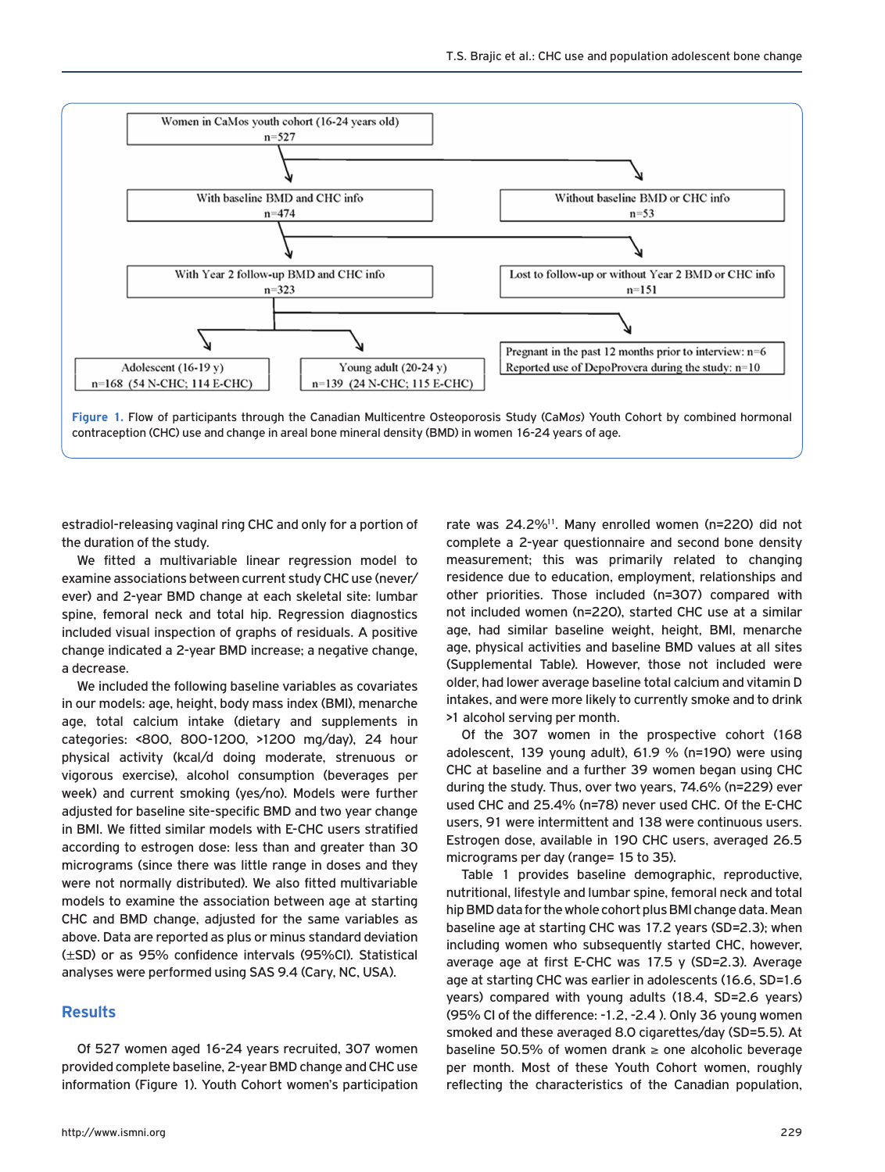

estradiol-releasing vaginal ring CHC and only for a portion of the duration of the study.

We fitted a multivariable linear regression model to examine associations between current study CHC use (never/ ever) and 2-year BMD change at each skeletal site: lumbar spine, femoral neck and total hip. Regression diagnostics included visual inspection of graphs of residuals. A positive change indicated a 2-year BMD increase; a negative change, a decrease.

We included the following baseline variables as covariates in our models: age, height, body mass index (BMI), menarche age, total calcium intake (dietary and supplements in categories: <800, 800-1200, >1200 mg/day), 24 hour physical activity (kcal/d doing moderate, strenuous or vigorous exercise), alcohol consumption (beverages per week) and current smoking (yes/no). Models were further adjusted for baseline site-specific BMD and two year change in BMI. We fitted similar models with E-CHC users stratified according to estrogen dose: less than and greater than 30 micrograms (since there was little range in doses and they were not normally distributed). We also fitted multivariable models to examine the association between age at starting CHC and BMD change, adjusted for the same variables as above. Data are reported as plus or minus standard deviation (±SD) or as 95% confidence intervals (95%CI). Statistical analyses were performed using SAS 9.4 (Cary, NC, USA).

## **Results**

Of 527 women aged 16-24 years recruited, 307 women provided complete baseline, 2-year BMD change and CHC use information (Figure 1). Youth Cohort women's participation rate was 24.2%<sup>11</sup>. Many enrolled women (n=220) did not complete a 2-year questionnaire and second bone density measurement; this was primarily related to changing residence due to education, employment, relationships and other priorities. Those included (n=307) compared with not included women (n=220), started CHC use at a similar age, had similar baseline weight, height, BMI, menarche age, physical activities and baseline BMD values at all sites (Supplemental Table). However, those not included were older, had lower average baseline total calcium and vitamin D intakes, and were more likely to currently smoke and to drink >1 alcohol serving per month.

Of the 307 women in the prospective cohort (168 adolescent, 139 young adult), 61.9 % (n=190) were using CHC at baseline and a further 39 women began using CHC during the study. Thus, over two years, 74.6% (n=229) ever used CHC and 25.4% (n=78) never used CHC. Of the E-CHC users, 91 were intermittent and 138 were continuous users. Estrogen dose, available in 190 CHC users, averaged 26.5 micrograms per day (range= 15 to 35).

Table 1 provides baseline demographic, reproductive, nutritional, lifestyle and lumbar spine, femoral neck and total hip BMD data for the whole cohort plus BMI change data. Mean baseline age at starting CHC was 17.2 years (SD=2.3); when including women who subsequently started CHC, however, average age at first E-CHC was 17.5 y (SD=2.3). Average age at starting CHC was earlier in adolescents (16.6, SD=1.6 years) compared with young adults (18.4, SD=2.6 years) (95% CI of the difference: -1.2, -2.4 ). Only 36 young women smoked and these averaged 8.0 cigarettes/day (SD=5.5). At baseline 50.5% of women drank  $\geq$  one alcoholic beverage per month. Most of these Youth Cohort women, roughly reflecting the characteristics of the Canadian population,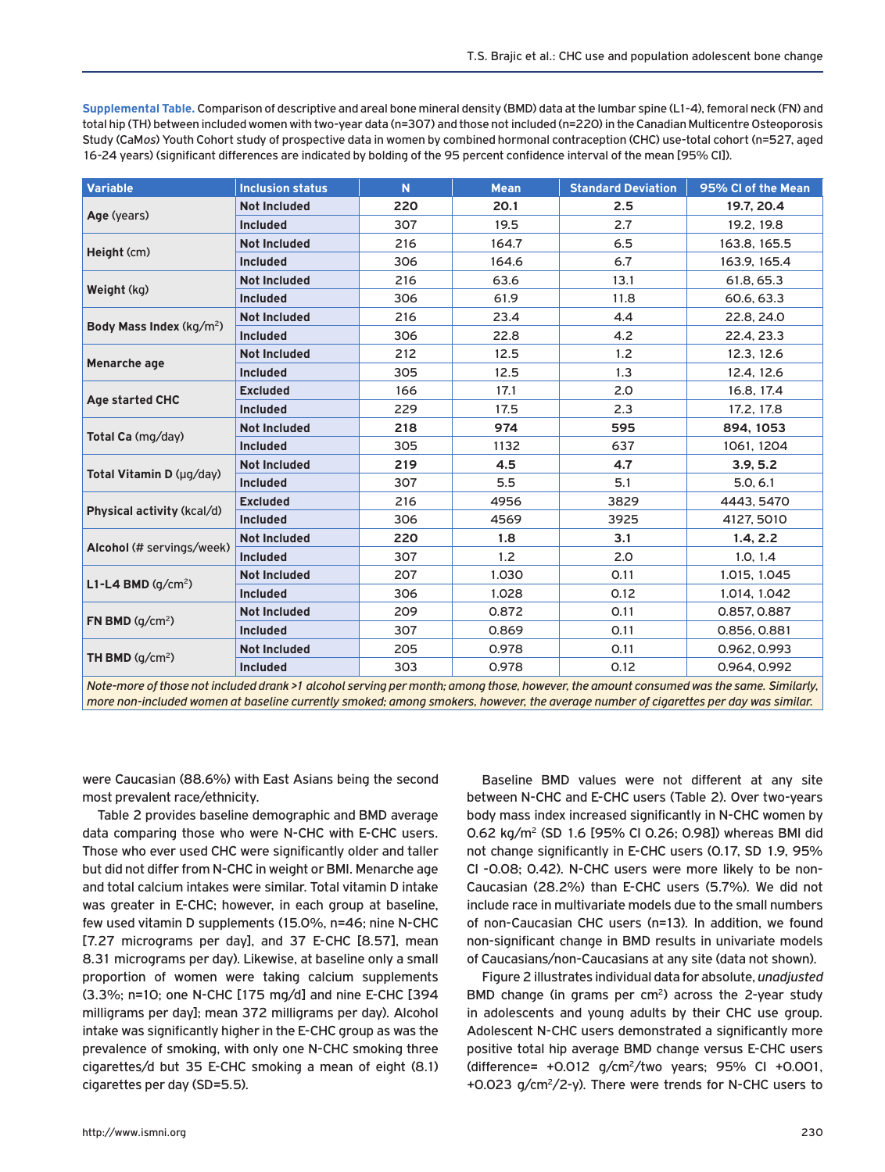**Supplemental Table.** Comparison of descriptive and areal bone mineral density (BMD) data at the lumbar spine (L1-4), femoral neck (FN) and total hip (TH) between included women with two-year data (n=307) and those not included (n=220) in the Canadian Multicentre Osteoporosis Study (CaM*os*) Youth Cohort study of prospective data in women by combined hormonal contraception (CHC) use-total cohort (n=527, aged 16-24 years) (significant differences are indicated by bolding of the 95 percent confidence interval of the mean [95% CI]).

| <b>Variable</b>                      | <b>Inclusion status</b> | N.  | <b>Mean</b> | <b>Standard Deviation</b> | 95% CI of the Mean |
|--------------------------------------|-------------------------|-----|-------------|---------------------------|--------------------|
| Age (years)                          | <b>Not Included</b>     | 220 | 20.1        | 2.5                       | 19.7, 20.4         |
|                                      | <b>Included</b>         | 307 | 19.5        | 2.7                       | 19.2, 19.8         |
| Height (cm)                          | <b>Not Included</b>     | 216 | 164.7       | 6.5                       | 163.8, 165.5       |
|                                      | <b>Included</b>         | 306 | 164.6       | 6.7                       | 163.9, 165.4       |
| Weight (kg)                          | <b>Not Included</b>     | 216 | 63.6        | 13.1                      | 61.8, 65.3         |
|                                      | <b>Included</b>         | 306 | 61.9        | 11.8                      | 60.6, 63.3         |
|                                      | <b>Not Included</b>     | 216 | 23.4        | 4.4                       | 22.8, 24.0         |
| Body Mass Index (kg/m <sup>2</sup> ) | <b>Included</b>         | 306 | 22.8        | 4.2                       | 22.4, 23.3         |
| <b>Menarche age</b>                  | <b>Not Included</b>     | 212 | 12.5        | 1.2                       | 12.3, 12.6         |
|                                      | <b>Included</b>         | 305 | 12.5        | 1.3                       | 12.4, 12.6         |
|                                      | <b>Excluded</b>         | 166 | 17.1        | 2.0                       | 16.8, 17.4         |
| <b>Age started CHC</b>               | <b>Included</b>         | 229 | 17.5        | 2.3                       | 17.2, 17.8         |
| Total Ca (mg/day)                    | <b>Not Included</b>     | 218 | 974         | 595                       | 894, 1053          |
|                                      | <b>Included</b>         | 305 | 1132        | 637                       | 1061, 1204         |
| Total Vitamin D (µg/day)             | <b>Not Included</b>     | 219 | 4.5         | 4.7                       | 3.9, 5.2           |
|                                      | <b>Included</b>         | 307 | 5.5         | 5.1                       | 5.0, 6.1           |
| Physical activity (kcal/d)           | <b>Excluded</b>         | 216 | 4956        | 3829                      | 4443, 5470         |
|                                      | <b>Included</b>         | 306 | 4569        | 3925                      | 4127, 5010         |
| Alcohol (# servings/week)            | <b>Not Included</b>     | 220 | 1.8         | 3.1                       | 1.4, 2.2           |
|                                      | <b>Included</b>         | 307 | 1.2         | 2.0                       | 1.0, 1.4           |
| L1-L4 BMD $(g/cm2)$                  | <b>Not Included</b>     | 207 | 1.030       | 0.11                      | 1.015, 1.045       |
|                                      | <b>Included</b>         | 306 | 1.028       | 0.12                      | 1.014, 1.042       |
| FN BMD $(q/cm^2)$                    | <b>Not Included</b>     | 209 | 0.872       | 0.11                      | 0.857, 0.887       |
|                                      | <b>Included</b>         | 307 | 0.869       | 0.11                      | 0.856, 0.881       |
| TH BMD $(g/cm2)$                     | <b>Not Included</b>     | 205 | 0.978       | 0.11                      | 0.962, 0.993       |
|                                      | <b>Included</b>         | 303 | 0.978       | 0.12                      | 0.964, 0.992       |

*Note-more of those not included drank >1 alcohol serving per month; among those, however, the amount consumed was the same. Similarly, more non-included women at baseline currently smoked; among smokers, however, the average number of cigarettes per day was similar.*

were Caucasian (88.6%) with East Asians being the second most prevalent race/ethnicity.

Table 2 provides baseline demographic and BMD average data comparing those who were N-CHC with E-CHC users. Those who ever used CHC were significantly older and taller but did not differ from N-CHC in weight or BMI. Menarche age and total calcium intakes were similar. Total vitamin D intake was greater in E-CHC; however, in each group at baseline, few used vitamin D supplements (15.0%, n=46; nine N-CHC [7.27 micrograms per day], and 37 E-CHC [8.57], mean 8.31 micrograms per day). Likewise, at baseline only a small proportion of women were taking calcium supplements (3.3%; n=10; one N-CHC [175 mg/d] and nine E-CHC [394 milligrams per day]; mean 372 milligrams per day). Alcohol intake was significantly higher in the E-CHC group as was the prevalence of smoking, with only one N-CHC smoking three cigarettes/d but 35 E-CHC smoking a mean of eight (8.1) cigarettes per day (SD=5.5).

Baseline BMD values were not different at any site between N-CHC and E-CHC users (Table 2). Over two-years body mass index increased significantly in N-CHC women by 0.62 kg/m2 (SD 1.6 [95% CI 0.26; 0.98]) whereas BMI did not change significantly in E-CHC users (0.17, SD 1.9, 95% CI -0.08; 0.42). N-CHC users were more likely to be non-Caucasian (28.2%) than E-CHC users (5.7%). We did not include race in multivariate models due to the small numbers of non-Caucasian CHC users (n=13). In addition, we found non-significant change in BMD results in univariate models of Caucasians/non-Caucasians at any site (data not shown).

Figure 2 illustrates individual data for absolute, *unadjusted* BMD change (in grams per  $cm<sup>2</sup>$ ) across the 2-year study in adolescents and young adults by their CHC use group. Adolescent N-CHC users demonstrated a significantly more positive total hip average BMD change versus E-CHC users (difference= +0.012 g/cm2/two years; 95% CI +0.001, +0.023 g/cm2/2-y). There were trends for N-CHC users to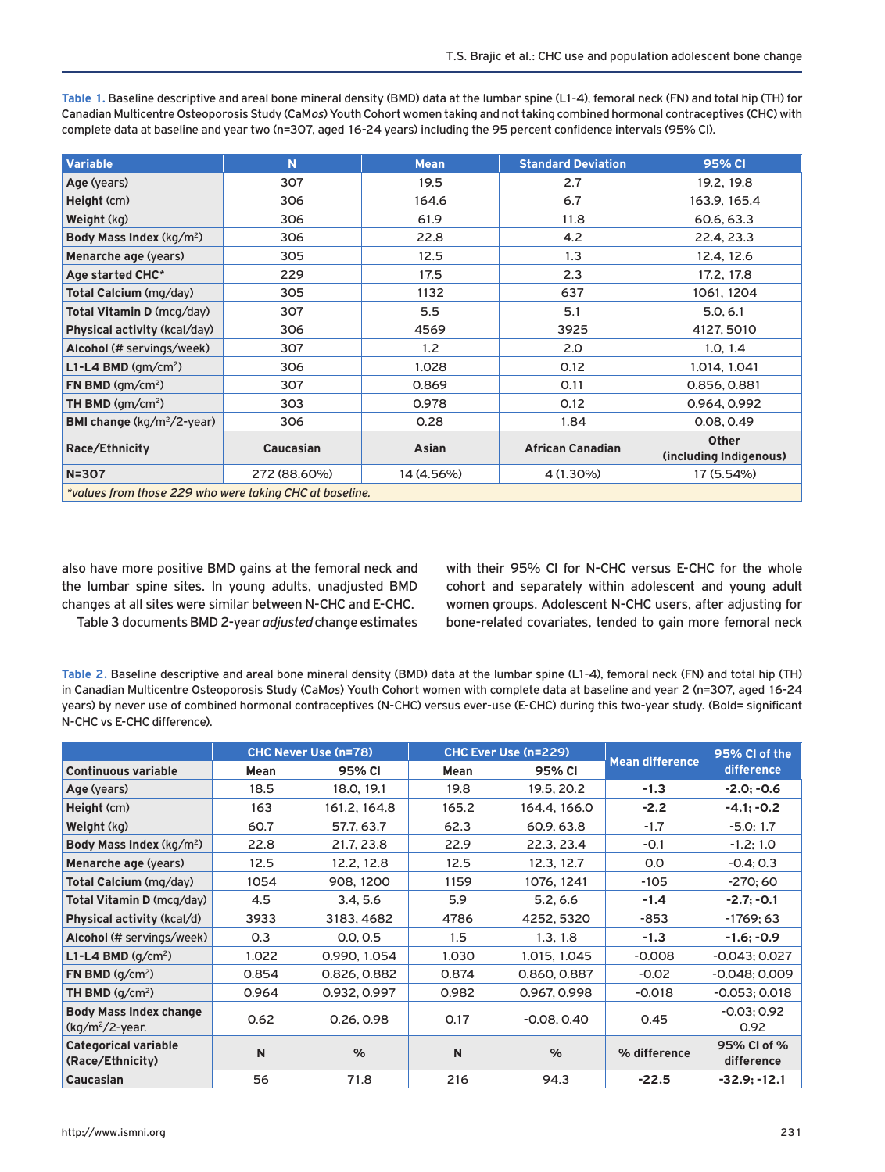**Table 1.** Baseline descriptive and areal bone mineral density (BMD) data at the lumbar spine (L1-4), femoral neck (FN) and total hip (TH) for Canadian Multicentre Osteoporosis Study (CaM*os*) Youth Cohort women taking and not taking combined hormonal contraceptives (CHC) with complete data at baseline and year two (n=307, aged 16-24 years) including the 95 percent confidence intervals (95% CI).

| <b>Variable</b>                                         | N                | <b>Mean</b> | <b>Standard Deviation</b> | 95% CI                                 |  |  |
|---------------------------------------------------------|------------------|-------------|---------------------------|----------------------------------------|--|--|
| Age (years)                                             | 307              | 19.5        | 2.7                       | 19.2, 19.8                             |  |  |
| Height (cm)                                             | 306              | 164.6       | 6.7                       | 163.9, 165.4                           |  |  |
| Weight (kg)                                             | 306              | 61.9        | 11.8                      | 60.6, 63.3                             |  |  |
| Body Mass Index (kg/m <sup>2</sup> )                    | 306              | 22.8        | 4.2                       | 22.4, 23.3                             |  |  |
| Menarche age (years)                                    | 305              | 12.5        | 1.3                       | 12.4, 12.6                             |  |  |
| Age started CHC*                                        | 229              | 17.5        | 2.3                       | 17.2, 17.8                             |  |  |
| Total Calcium (mg/day)                                  | 305              | 1132        | 637                       | 1061, 1204                             |  |  |
| Total Vitamin D (mcg/day)                               | 307              | 5.5         | 5.1                       | 5.0, 6.1                               |  |  |
| Physical activity (kcal/day)                            | 306              | 4569        | 3925                      | 4127, 5010                             |  |  |
| Alcohol (# servings/week)                               | 307              | 1.2         | 2.0                       | 1.0, 1.4                               |  |  |
| L1-L4 BMD ( $gm/cm2$ )                                  | 306              | 1.028       | 0.12                      | 1.014, 1.041                           |  |  |
| $FN$ BMD ( $gm/cm2$ )                                   | 307              | 0.869       | 0.11                      | 0.856, 0.881                           |  |  |
| TH BMD $(gm/cm2)$                                       | 303              | 0.978       | 0.12                      | 0.964, 0.992                           |  |  |
| <b>BMI change (kg/m<sup>2</sup>/2-year)</b>             | 306              | 0.28        | 1.84                      | 0.08, 0.49                             |  |  |
| Race/Ethnicity                                          | <b>Caucasian</b> | Asian       | <b>African Canadian</b>   | <b>Other</b><br>(including Indigenous) |  |  |
| $N=307$                                                 | 272 (88.60%)     | 14 (4.56%)  | 4 (1.30%)                 | 17 (5.54%)                             |  |  |
| *values from those 229 who were taking CHC at baseline. |                  |             |                           |                                        |  |  |

also have more positive BMD gains at the femoral neck and the lumbar spine sites. In young adults, unadjusted BMD changes at all sites were similar between N-CHC and E-CHC.

Table 3 documents BMD 2-year *adjusted* change estimates

with their 95% CI for N-CHC versus E-CHC for the whole cohort and separately within adolescent and young adult women groups. Adolescent N-CHC users, after adjusting for bone-related covariates, tended to gain more femoral neck

**Table 2.** Baseline descriptive and areal bone mineral density (BMD) data at the lumbar spine (L1-4), femoral neck (FN) and total hip (TH) in Canadian Multicentre Osteoporosis Study (CaM*os*) Youth Cohort women with complete data at baseline and year 2 (n=307, aged 16-24 years) by never use of combined hormonal contraceptives (N-CHC) versus ever-use (E-CHC) during this two-year study. (Bold= significant N-CHC vs E-CHC difference).

|                                                     | <b>CHC Never Use (n=78)</b> |              | <b>CHC Ever Use (n=229)</b> |               |                        | 95% CI of the             |
|-----------------------------------------------------|-----------------------------|--------------|-----------------------------|---------------|------------------------|---------------------------|
| <b>Continuous variable</b>                          | Mean                        | 95% CI       | <b>Mean</b>                 | 95% CI        | <b>Mean difference</b> | difference                |
| Age (years)                                         | 18.5                        | 18.0, 19.1   | 19.8                        | 19.5, 20.2    | $-1.3$                 | $-2.0; -0.6$              |
| Height (cm)                                         | 163                         | 161.2, 164.8 | 165.2                       | 164.4, 166.0  | $-2.2$                 | $-4.1; -0.2$              |
| Weight (kg)                                         | 60.7                        | 57.7, 63.7   | 62.3                        | 60.9, 63.8    | $-1.7$                 | $-5.0; 1.7$               |
| Body Mass Index (kg/m <sup>2</sup> )                | 22.8                        | 21.7, 23.8   | 22.9                        | 22.3, 23.4    | $-0.1$                 | $-1.2:1.0$                |
| Menarche age (years)                                | 12.5                        | 12.2, 12.8   | 12.5                        | 12.3, 12.7    | O.O                    | $-0.4; 0.3$               |
| Total Calcium (mg/day)                              | 1054                        | 908, 1200    | 1159                        | 1076, 1241    | $-105$                 | $-270:60$                 |
| Total Vitamin D (mcg/day)                           | 4.5                         | 3.4, 5.6     | 5.9                         | 5.2, 6.6      | $-1.4$                 | $-2.7: -0.1$              |
| Physical activity (kcal/d)                          | 3933                        | 3183, 4682   | 4786                        | 4252, 5320    | $-853$                 | $-1769;63$                |
| Alcohol (# servings/week)                           | O.3                         | 0.0, 0.5     | 1.5                         | 1.3, 1.8      | $-1.3$                 | $-1.6: -0.9$              |
| <b>L1-L4 BMD</b> $(q/cm^2)$                         | 1.022                       | 0.990, 1.054 | 1.030                       | 1.015, 1.045  | $-0.008$               | $-0.043; 0.027$           |
| FN BMD (q/cm <sup>2</sup> )                         | 0.854                       | 0.826, 0.882 | 0.874                       | 0.860, 0.887  | $-0.02$                | $-0.048; 0.009$           |
| TH BMD $(q/cm2)$                                    | 0.964                       | 0.932, 0.997 | 0.982                       | 0.967, 0.998  | $-0.018$               | $-0.053; 0.018$           |
| <b>Body Mass Index change</b><br>$(kq/m^2/2$ -year. | 0.62                        | 0.26, 0.98   | 0.17                        | $-0.08, 0.40$ | 0.45                   | $-0.03; 0.92$<br>0.92     |
| <b>Categorical variable</b><br>(Race/Ethnicity)     | N                           | $\%$         | $\mathsf{N}$                | $\%$          | % difference           | 95% Cl of %<br>difference |
| Caucasian                                           | 56                          | 71.8         | 216                         | 94.3          | $-22.5$                | $-32.9; -12.1$            |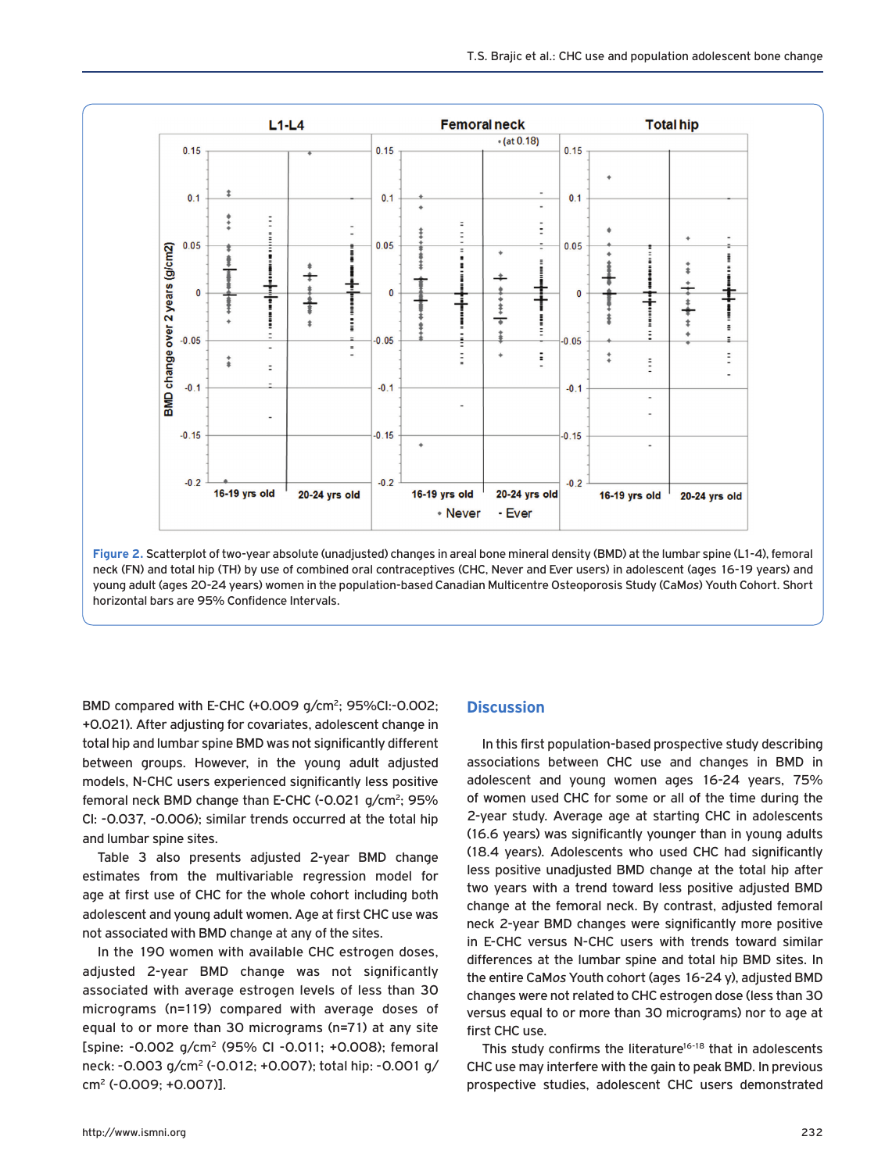

**Figure 2.** Scatterplot of two-year absolute (unadjusted) changes in areal bone mineral density (BMD) at the lumbar spine (L1-4), femoral neck (FN) and total hip (TH) by use of combined oral contraceptives (CHC, Never and Ever users) in adolescent (ages 16-19 years) and young adult (ages 20-24 years) women in the population-based Canadian Multicentre Osteoporosis Study (CaM*os*) Youth Cohort. Short horizontal bars are 95% Confidence Intervals.

BMD compared with E-CHC (+0.009 g/cm<sup>2</sup>; 95%CI:-0.002; +0.021). After adjusting for covariates, adolescent change in total hip and lumbar spine BMD was not significantly different between groups. However, in the young adult adjusted models, N-CHC users experienced significantly less positive femoral neck BMD change than E-CHC  $(-0.021)$  g/cm<sup>2</sup>; 95% CI: -0.037, -0.006); similar trends occurred at the total hip and lumbar spine sites.

Table 3 also presents adjusted 2-year BMD change estimates from the multivariable regression model for age at first use of CHC for the whole cohort including both adolescent and young adult women. Age at first CHC use was not associated with BMD change at any of the sites.

In the 190 women with available CHC estrogen doses, adjusted 2-year BMD change was not significantly associated with average estrogen levels of less than 30 micrograms (n=119) compared with average doses of equal to or more than 30 micrograms (n=71) at any site [spine: -0.002 g/cm2 (95% CI -0.011; +0.008); femoral neck: -0.003 g/cm2 (-0.012; +0.007); total hip: -0.001 g/ cm2 (-0.009; +0.007)].

# **Discussion**

In this first population-based prospective study describing associations between CHC use and changes in BMD in adolescent and young women ages 16-24 years, 75% of women used CHC for some or all of the time during the 2-year study. Average age at starting CHC in adolescents (16.6 years) was significantly younger than in young adults (18.4 years). Adolescents who used CHC had significantly less positive unadjusted BMD change at the total hip after two years with a trend toward less positive adjusted BMD change at the femoral neck. By contrast, adjusted femoral neck 2-year BMD changes were significantly more positive in E-CHC versus N-CHC users with trends toward similar differences at the lumbar spine and total hip BMD sites. In the entire CaM*os* Youth cohort (ages 16-24 y), adjusted BMD changes were not related to CHC estrogen dose (less than 30 versus equal to or more than 30 micrograms) nor to age at first CHC use.

This study confirms the literature<sup>16-18</sup> that in adolescents CHC use may interfere with the gain to peak BMD. In previous prospective studies, adolescent CHC users demonstrated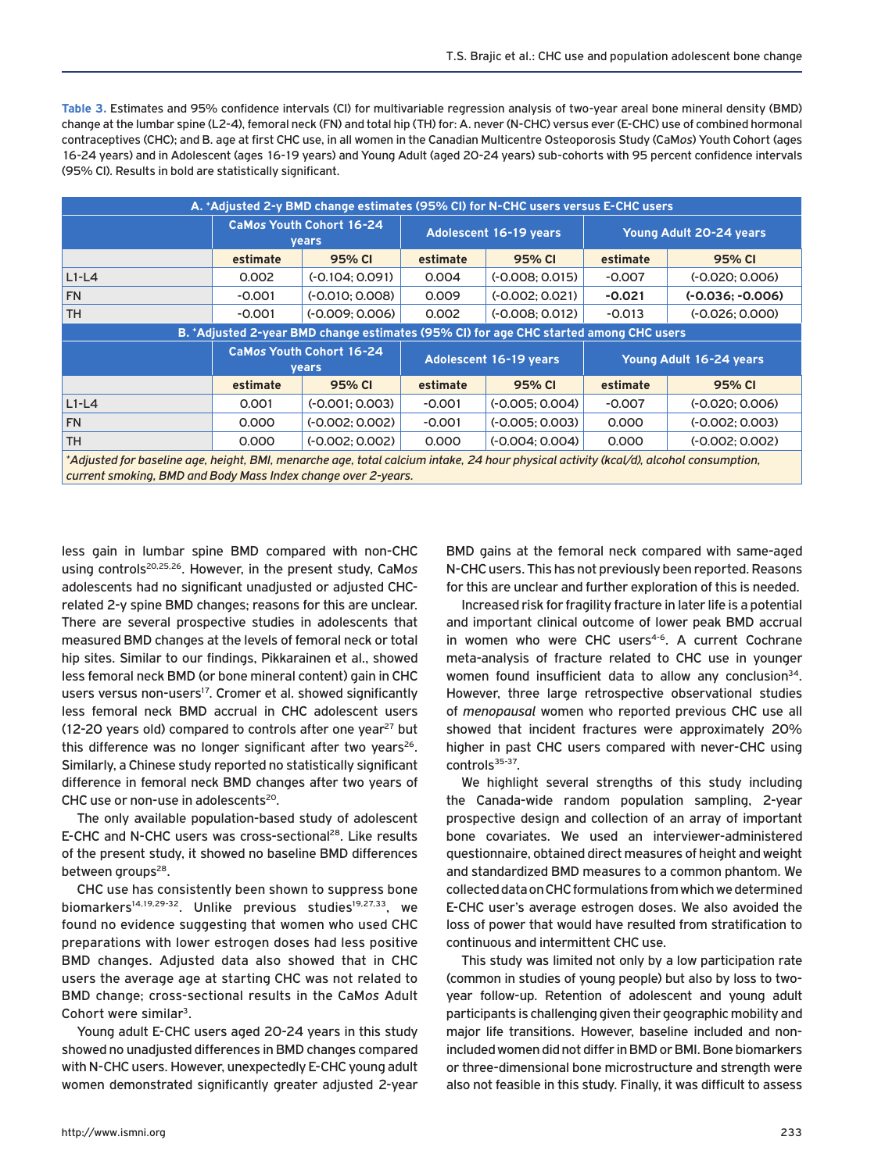**Table 3.** Estimates and 95% confidence intervals (CI) for multivariable regression analysis of two-year areal bone mineral density (BMD) change at the lumbar spine (L2-4), femoral neck (FN) and total hip (TH) for: A. never (N-CHC) versus ever (E-CHC) use of combined hormonal contraceptives (CHC); and B. age at first CHC use, in all women in the Canadian Multicentre Osteoporosis Study (CaM*os*) Youth Cohort (ages 16-24 years) and in Adolescent (ages 16-19 years) and Young Adult (aged 20-24 years) sub-cohorts with 95 percent confidence intervals (95% CI). Results in bold are statistically significant.

| A. *Adjusted 2-y BMD change estimates (95% CI) for N-CHC users versus E-CHC users                                                                                                                      |                                                 |                   |                               |                   |                         |                    |  |
|--------------------------------------------------------------------------------------------------------------------------------------------------------------------------------------------------------|-------------------------------------------------|-------------------|-------------------------------|-------------------|-------------------------|--------------------|--|
|                                                                                                                                                                                                        | <b>CaMos Youth Cohort 16-24</b><br><b>vears</b> |                   | <b>Adolescent 16-19 years</b> |                   | Young Adult 20-24 years |                    |  |
|                                                                                                                                                                                                        | estimate                                        | 95% CI            | estimate                      | 95% CI            | estimate                | 95% CI             |  |
| $L1-L4$                                                                                                                                                                                                | 0.002                                           | $(-0.104; 0.091)$ | 0.004                         | $(-0.008; 0.015)$ | $-0.007$                | $(-0.020; 0.006)$  |  |
| <b>FN</b>                                                                                                                                                                                              | $-0.001$                                        | $(-0.010; 0.008)$ | 0.009                         | $(-0.002; 0.021)$ | $-0.021$                | $(-0.036; -0.006)$ |  |
| <b>TH</b>                                                                                                                                                                                              | $-0.001$                                        | $(-0.009; 0.006)$ | 0.002                         | $(-0.008; 0.012)$ | $-0.013$                | $(-0.026; 0.000)$  |  |
| B. *Adjusted 2-year BMD change estimates (95% CI) for age CHC started among CHC users                                                                                                                  |                                                 |                   |                               |                   |                         |                    |  |
|                                                                                                                                                                                                        | <b>CaMos Youth Cohort 16-24</b><br><b>vears</b> |                   | <b>Adolescent 16-19 years</b> |                   | Young Adult 16-24 years |                    |  |
|                                                                                                                                                                                                        | estimate                                        | 95% CI            | estimate                      | 95% CI            | estimate                | 95% CI             |  |
| $L1-L4$                                                                                                                                                                                                | 0.001                                           | $(-0.001; 0.003)$ | $-0.001$                      | $(-0.005; 0.004)$ | $-0.007$                | $(-0.020; 0.006)$  |  |
| <b>FN</b>                                                                                                                                                                                              | 0.000                                           | $(-0.002; 0.002)$ | $-0.001$                      | $(-0.005; 0.003)$ | 0.000                   | $(-0.002; 0.003)$  |  |
| TH.                                                                                                                                                                                                    | 0.000                                           | $(-0.002; 0.002)$ | 0.000                         | $(-0.004; 0.004)$ | 0.000                   | $(-0.002:0.002)$   |  |
| *Adjusted for baseline age, height, BMI, menarche age, total calcium intake, 24 hour physical activity (kcal/d), alcohol consumption,<br>current smoking, BMD and Body Mass Index change over 2-years. |                                                 |                   |                               |                   |                         |                    |  |

less gain in lumbar spine BMD compared with non-CHC using controls20,25,26. However, in the present study, CaM*os* adolescents had no significant unadjusted or adjusted CHCrelated 2-y spine BMD changes; reasons for this are unclear. There are several prospective studies in adolescents that measured BMD changes at the levels of femoral neck or total hip sites. Similar to our findings, Pikkarainen et al., showed less femoral neck BMD (or bone mineral content) gain in CHC users versus non-users<sup>17</sup>. Cromer et al. showed significantly less femoral neck BMD accrual in CHC adolescent users (12-20 years old) compared to controls after one year $^{27}$  but this difference was no longer significant after two years<sup>26</sup>. Similarly, a Chinese study reported no statistically significant difference in femoral neck BMD changes after two years of CHC use or non-use in adolescents<sup>20</sup>.

The only available population-based study of adolescent E-CHC and N-CHC users was cross-sectional<sup>28</sup>. Like results of the present study, it showed no baseline BMD differences between groups<sup>28</sup>.

CHC use has consistently been shown to suppress bone biomarkers<sup>14,19,29-32</sup>. Unlike previous studies<sup>19,27,33</sup>, we found no evidence suggesting that women who used CHC preparations with lower estrogen doses had less positive BMD changes. Adjusted data also showed that in CHC users the average age at starting CHC was not related to BMD change; cross-sectional results in the CaM*os* Adult Cohort were similar<sup>3</sup>.

Young adult E-CHC users aged 20-24 years in this study showed no unadjusted differences in BMD changes compared with N-CHC users. However, unexpectedly E-CHC young adult women demonstrated significantly greater adjusted 2-year

BMD gains at the femoral neck compared with same-aged N-CHC users. This has not previously been reported. Reasons for this are unclear and further exploration of this is needed.

Increased risk for fragility fracture in later life is a potential and important clinical outcome of lower peak BMD accrual in women who were CHC users<sup>4-6</sup>. A current Cochrane meta-analysis of fracture related to CHC use in younger women found insufficient data to allow any conclusion<sup>34</sup>. However, three large retrospective observational studies of *menopausal* women who reported previous CHC use all showed that incident fractures were approximately 20% higher in past CHC users compared with never-CHC using controls<sup>35-37</sup>.

We highlight several strengths of this study including the Canada-wide random population sampling, 2-year prospective design and collection of an array of important bone covariates. We used an interviewer-administered questionnaire, obtained direct measures of height and weight and standardized BMD measures to a common phantom. We collected data on CHC formulations from which we determined E-CHC user's average estrogen doses. We also avoided the loss of power that would have resulted from stratification to continuous and intermittent CHC use.

This study was limited not only by a low participation rate (common in studies of young people) but also by loss to twoyear follow-up. Retention of adolescent and young adult participants is challenging given their geographic mobility and major life transitions. However, baseline included and nonincluded women did not differ in BMD or BMI. Bone biomarkers or three-dimensional bone microstructure and strength were also not feasible in this study. Finally, it was difficult to assess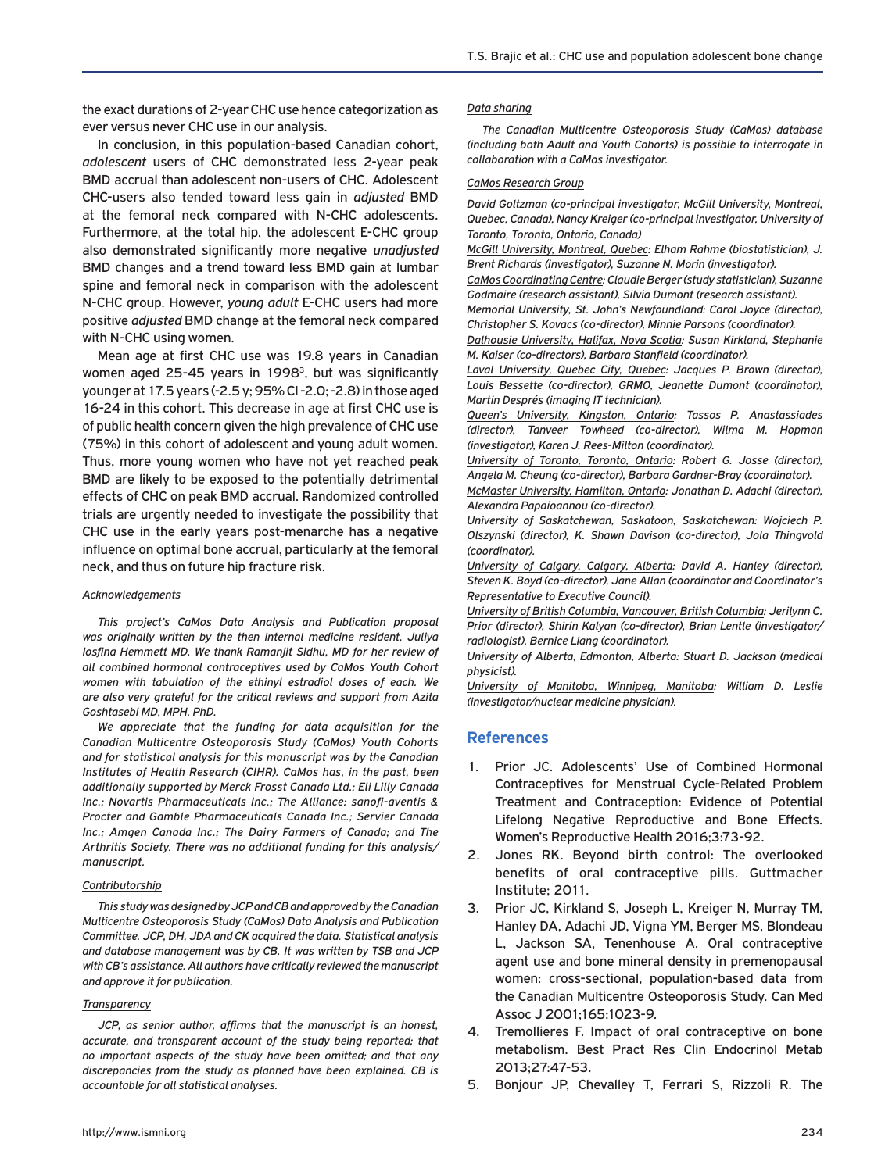the exact durations of 2-year CHC use hence categorization as ever versus never CHC use in our analysis.

In conclusion, in this population-based Canadian cohort, *adolescent* users of CHC demonstrated less 2-year peak BMD accrual than adolescent non-users of CHC. Adolescent CHC-users also tended toward less gain in *adjusted* BMD at the femoral neck compared with N-CHC adolescents. Furthermore, at the total hip, the adolescent E-CHC group also demonstrated significantly more negative *unadjusted* BMD changes and a trend toward less BMD gain at lumbar spine and femoral neck in comparison with the adolescent N-CHC group. However, *young adult* E-CHC users had more positive *adjusted* BMD change at the femoral neck compared with N-CHC using women.

Mean age at first CHC use was 19.8 years in Canadian women aged 25-45 years in 1998 $3$ , but was significantly younger at 17.5 years (-2.5 y; 95% CI -2.0; -2.8) in those aged 16-24 in this cohort. This decrease in age at first CHC use is of public health concern given the high prevalence of CHC use (75%) in this cohort of adolescent and young adult women. Thus, more young women who have not yet reached peak BMD are likely to be exposed to the potentially detrimental effects of CHC on peak BMD accrual. Randomized controlled trials are urgently needed to investigate the possibility that CHC use in the early years post-menarche has a negative influence on optimal bone accrual, particularly at the femoral neck, and thus on future hip fracture risk.

#### *Acknowledgements*

*This project's CaMos Data Analysis and Publication proposal was originally written by the then internal medicine resident, Juliya Iosfina Hemmett MD. We thank Ramanjit Sidhu, MD for her review of all combined hormonal contraceptives used by CaMos Youth Cohort women with tabulation of the ethinyl estradiol doses of each. We are also very grateful for the critical reviews and support from Azita Goshtasebi MD, MPH, PhD.*

*We appreciate that the funding for data acquisition for the Canadian Multicentre Osteoporosis Study (CaMos) Youth Cohorts and for statistical analysis for this manuscript was by the Canadian*  Institutes of Health Research (CIHR). CaMos has, in the past, been *additionally supported by Merck Frosst Canada Ltd.; Eli Lilly Canada Inc.; Novartis Pharmaceuticals Inc.; The Alliance: sanofi-aventis & Procter and Gamble Pharmaceuticals Canada Inc.; Servier Canada Inc.; Amgen Canada Inc.; The Dairy Farmers of Canada; and The Arthritis Society. There was no additional funding for this analysis/ manuscript.* 

#### *Contributorship*

*This study was designed by JCP and CB and approved by the Canadian Multicentre Osteoporosis Study (CaMos) Data Analysis and Publication Committee. JCP, DH, JDA and CK acquired the data. Statistical analysis and database management was by CB. It was written by TSB and JCP with CB's assistance. All authors have critically reviewed the manuscript and approve it for publication.*

#### *Transparency*

*JCP, as senior author, affirms that the manuscript is an honest, accurate, and transparent account of the study being reported; that no important aspects of the study have been omitted; and that any discrepancies from the study as planned have been explained. CB is accountable for all statistical analyses.* 

#### *Data sharing*

*The Canadian Multicentre Osteoporosis Study (CaMos) database (including both Adult and Youth Cohorts) is possible to interrogate in collaboration with a CaMos investigator.*

#### *CaMos Research Group*

*David Goltzman (co-principal investigator, McGill University, Montreal, Quebec, Canada), Nancy Kreiger (co-principal investigator, University of Toronto, Toronto, Ontario, Canada)*

*McGill University, Montreal, Quebec: Elham Rahme (biostatistician), J. Brent Richards (investigator), Suzanne N. Morin (investigator).* 

*CaMos Coordinating Centre: Claudie Berger (study statistician), Suzanne Godmaire (research assistant), Silvia Dumont (research assistant).*

*Memorial University, St. John's Newfoundland: Carol Joyce (director), Christopher S. Kovacs (co-director), Minnie Parsons (coordinator).*

*Dalhousie University, Halifax, Nova Scotia: Susan Kirkland, Stephanie M. Kaiser (co-directors), Barbara Stanfield (coordinator).*

*Laval University, Quebec City, Quebec: Jacques P. Brown (director), Louis Bessette (co-director), GRMO, Jeanette Dumont (coordinator), Martin Després (imaging IT technician).* 

*Queen's University, Kingston, Ontario: Tassos P. Anastassiades (director), Tanveer Towheed (co-director), Wilma M. Hopman (investigator), Karen J. Rees-Milton (coordinator).*

*University of Toronto, Toronto, Ontario: Robert G. Josse (director), Angela M. Cheung (co-director), Barbara Gardner-Bray (coordinator).* 

*McMaster University, Hamilton, Ontario: Jonathan D. Adachi (director), Alexandra Papaioannou (co-director).*

*University of Saskatchewan, Saskatoon, Saskatchewan: Wojciech P. Olszynski (director), K. Shawn Davison (co-director), Jola Thingvold (coordinator).*

*University of Calgary, Calgary, Alberta: David A. Hanley (director), Steven K. Boyd (co-director), Jane Allan (coordinator and Coordinator's Representative to Executive Council).*

*University of British Columbia, Vancouver, British Columbia: Jerilynn C. Prior (director), Shirin Kalyan (co-director), Brian Lentle (investigator/ radiologist), Bernice Liang (coordinator).*

*University of Alberta, Edmonton, Alberta: Stuart D. Jackson (medical physicist).*

*University of Manitoba, Winnipeg, Manitoba: William D. Leslie (investigator/nuclear medicine physician).* 

## **References**

- 1. Prior JC. Adolescents' Use of Combined Hormonal Contraceptives for Menstrual Cycle-Related Problem Treatment and Contraception: Evidence of Potential Lifelong Negative Reproductive and Bone Effects. Women's Reproductive Health 2016;3:73-92.
- 2. Jones RK. Beyond birth control: The overlooked benefits of oral contraceptive pills. Guttmacher Institute; 2011.
- 3. Prior JC, Kirkland S, Joseph L, Kreiger N, Murray TM, Hanley DA, Adachi JD, Vigna YM, Berger MS, Blondeau L, Jackson SA, Tenenhouse A. Oral contraceptive agent use and bone mineral density in premenopausal women: cross-sectional, population-based data from the Canadian Multicentre Osteoporosis Study. Can Med Assoc J 2001;165:1023-9.
- 4. Tremollieres F. Impact of oral contraceptive on bone metabolism. Best Pract Res Clin Endocrinol Metab 2013;27:47-53.
- 5. Bonjour JP, Chevalley T, Ferrari S, Rizzoli R. The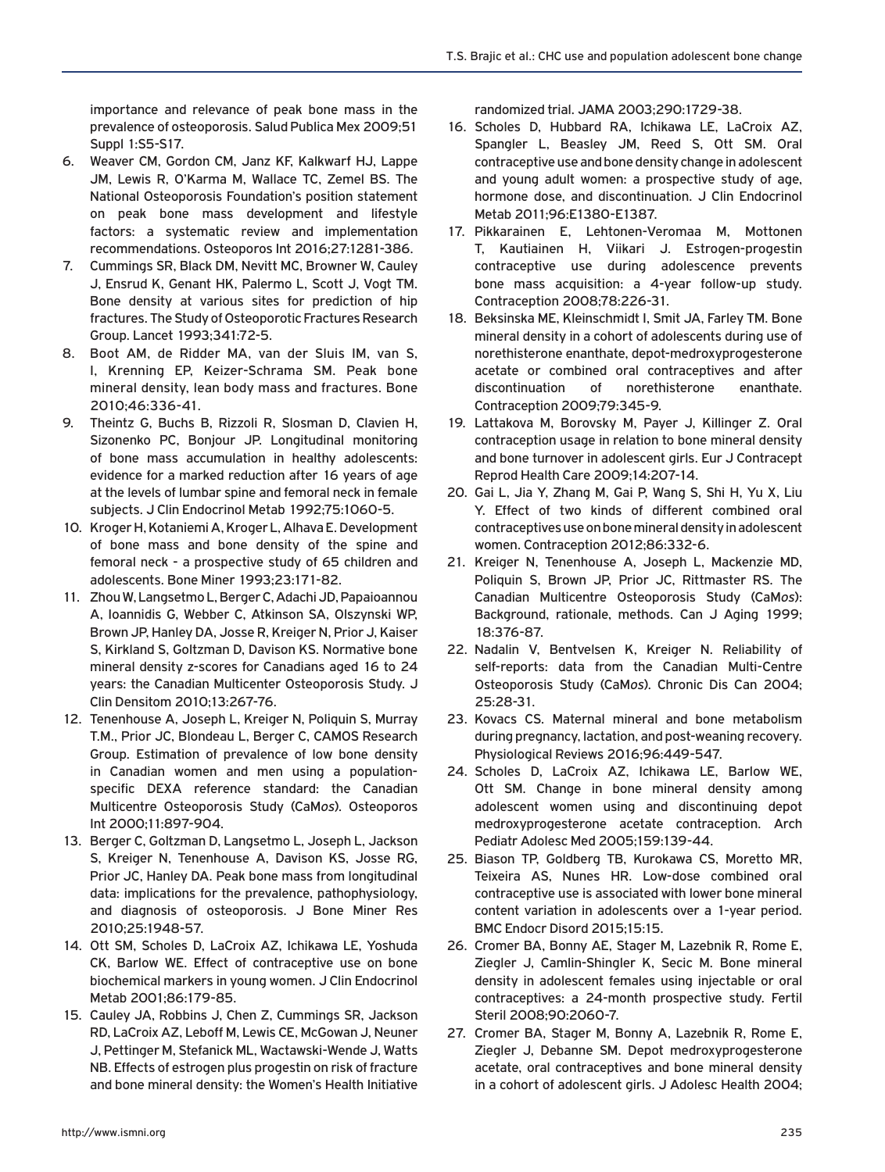importance and relevance of peak bone mass in the prevalence of osteoporosis. Salud Publica Mex 2009;51 Suppl 1:S5-S17.

- 6. Weaver CM, Gordon CM, Janz KF, Kalkwarf HJ, Lappe JM, Lewis R, O'Karma M, Wallace TC, Zemel BS. The National Osteoporosis Foundation's position statement on peak bone mass development and lifestyle factors: a systematic review and implementation recommendations. Osteoporos Int 2016;27:1281-386.
- 7. Cummings SR, Black DM, Nevitt MC, Browner W, Cauley J, Ensrud K, Genant HK, Palermo L, Scott J, Vogt TM. Bone density at various sites for prediction of hip fractures. The Study of Osteoporotic Fractures Research Group. Lancet 1993;341:72-5.
- 8. Boot AM, de Ridder MA, van der Sluis IM, van S, I, Krenning EP, Keizer-Schrama SM. Peak bone mineral density, lean body mass and fractures. Bone 2010;46:336-41.
- 9. Theintz G, Buchs B, Rizzoli R, Slosman D, Clavien H, Sizonenko PC, Bonjour JP. Longitudinal monitoring of bone mass accumulation in healthy adolescents: evidence for a marked reduction after 16 years of age at the levels of lumbar spine and femoral neck in female subjects. J Clin Endocrinol Metab 1992;75:1060-5.
- 10. Kroger H, Kotaniemi A, Kroger L, Alhava E. Development of bone mass and bone density of the spine and femoral neck - a prospective study of 65 children and adolescents. Bone Miner 1993;23:171-82.
- 11. Zhou W, Langsetmo L, Berger C, Adachi JD, Papaioannou A, Ioannidis G, Webber C, Atkinson SA, Olszynski WP, Brown JP, Hanley DA, Josse R, Kreiger N, Prior J, Kaiser S, Kirkland S, Goltzman D, Davison KS. Normative bone mineral density z-scores for Canadians aged 16 to 24 years: the Canadian Multicenter Osteoporosis Study. J Clin Densitom 2010;13:267-76.
- 12. Tenenhouse A, Joseph L, Kreiger N, Poliquin S, Murray T.M., Prior JC, Blondeau L, Berger C, CAMOS Research Group. Estimation of prevalence of low bone density in Canadian women and men using a populationspecific DEXA reference standard: the Canadian Multicentre Osteoporosis Study (CaM*os*). Osteoporos Int 2000;11:897-904.
- 13. Berger C, Goltzman D, Langsetmo L, Joseph L, Jackson S, Kreiger N, Tenenhouse A, Davison KS, Josse RG, Prior JC, Hanley DA. Peak bone mass from longitudinal data: implications for the prevalence, pathophysiology, and diagnosis of osteoporosis. J Bone Miner Res 2010;25:1948-57.
- 14. Ott SM, Scholes D, LaCroix AZ, Ichikawa LE, Yoshuda CK, Barlow WE. Effect of contraceptive use on bone biochemical markers in young women. J Clin Endocrinol Metab 2001;86:179-85.
- 15. Cauley JA, Robbins J, Chen Z, Cummings SR, Jackson RD, LaCroix AZ, Leboff M, Lewis CE, McGowan J, Neuner J, Pettinger M, Stefanick ML, Wactawski-Wende J, Watts NB. Effects of estrogen plus progestin on risk of fracture and bone mineral density: the Women's Health Initiative

randomized trial. JAMA 2003;290:1729-38.

- 16. Scholes D, Hubbard RA, Ichikawa LE, LaCroix AZ, Spangler L, Beasley JM, Reed S, Ott SM. Oral contraceptive use and bone density change in adolescent and young adult women: a prospective study of age, hormone dose, and discontinuation. J Clin Endocrinol Metab 2011;96:E1380-E1387.
- 17. Pikkarainen E, Lehtonen-Veromaa M, Mottonen T, Kautiainen H, Viikari J. Estrogen-progestin contraceptive use during adolescence prevents bone mass acquisition: a 4-year follow-up study. Contraception 2008;78:226-31.
- 18. Beksinska ME, Kleinschmidt I, Smit JA, Farley TM. Bone mineral density in a cohort of adolescents during use of norethisterone enanthate, depot-medroxyprogesterone acetate or combined oral contraceptives and after discontinuation of norethisterone enanthate. Contraception 2009;79:345-9.
- 19. Lattakova M, Borovsky M, Payer J, Killinger Z. Oral contraception usage in relation to bone mineral density and bone turnover in adolescent girls. Eur J Contracept Reprod Health Care 2009;14:207-14.
- 20. Gai L, Jia Y, Zhang M, Gai P, Wang S, Shi H, Yu X, Liu Y. Effect of two kinds of different combined oral contraceptives use on bone mineral density in adolescent women. Contraception 2012;86:332-6.
- 21. Kreiger N, Tenenhouse A, Joseph L, Mackenzie MD, Poliquin S, Brown JP, Prior JC, Rittmaster RS. The Canadian Multicentre Osteoporosis Study (CaM*os*): Background, rationale, methods. Can J Aging 1999; 18:376-87.
- 22. Nadalin V, Bentvelsen K, Kreiger N. Reliability of self-reports: data from the Canadian Multi-Centre Osteoporosis Study (CaM*os*). Chronic Dis Can 2004; 25:28-31.
- 23. Kovacs CS. Maternal mineral and bone metabolism during pregnancy, lactation, and post-weaning recovery. Physiological Reviews 2016;96:449-547.
- 24. Scholes D, LaCroix AZ, Ichikawa LE, Barlow WE, Ott SM. Change in bone mineral density among adolescent women using and discontinuing depot medroxyprogesterone acetate contraception. Arch Pediatr Adolesc Med 2005;159:139-44.
- 25. Biason TP, Goldberg TB, Kurokawa CS, Moretto MR, Teixeira AS, Nunes HR. Low-dose combined oral contraceptive use is associated with lower bone mineral content variation in adolescents over a 1-year period. BMC Endocr Disord 2015;15:15.
- 26. Cromer BA, Bonny AE, Stager M, Lazebnik R, Rome E, Ziegler J, Camlin-Shingler K, Secic M. Bone mineral density in adolescent females using injectable or oral contraceptives: a 24-month prospective study. Fertil Steril 2008;90:2060-7.
- 27. Cromer BA, Stager M, Bonny A, Lazebnik R, Rome E, Ziegler J, Debanne SM. Depot medroxyprogesterone acetate, oral contraceptives and bone mineral density in a cohort of adolescent girls. J Adolesc Health 2004;